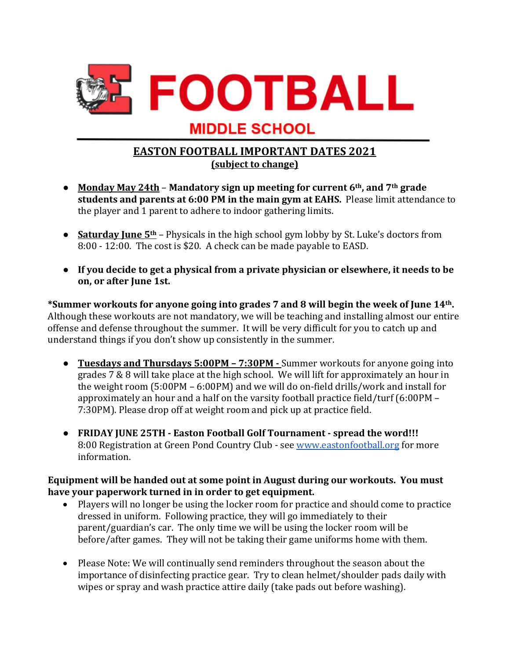

## **MIDDLE SCHOOL**

## **EASTON FOOTBALL IMPORTANT DATES 2021 (subject to change)**

- Monday May 24th Mandatory sign up meeting for current 6<sup>th</sup>, and 7<sup>th</sup> grade **students and parents at 6:00 PM in the main gym at EAHS.** Please limit attendance to the player and 1 parent to adhere to indoor gathering limits.
- **Saturday June 5<sup>th</sup>** Physicals in the high school gym lobby by St. Luke's doctors from 8:00 - 12:00. The cost is \$20. A check can be made payable to EASD.
- If you decide to get a physical from a private physician or elsewhere, it needs to be **on, or after June 1st.**

\*Summer workouts for anyone going into grades 7 and 8 will begin the week of June 14<sup>th</sup>. Although these workouts are not mandatory, we will be teaching and installing almost our entire offense and defense throughout the summer. It will be very difficult for you to catch up and understand things if you don't show up consistently in the summer.

- **Tuesdays and Thursdays 5:00PM 7:30PM -** Summer workouts for anyone going into grades  $7\& 8$  will take place at the high school. We will lift for approximately an hour in the weight room  $(5:00PM - 6:00PM)$  and we will do on-field drills/work and install for approximately an hour and a half on the varsity football practice field/turf  $(6:00PM -$ 7:30PM). Please drop off at weight room and pick up at practice field.
- **FRIDAY JUNE 25TH** Easton Football Golf Tournament spread the word!!! 8:00 Registration at Green Pond Country Club - see www.eastonfootball.org for more information.

Equipment will be handed out at some point in August during our workouts. You must have your paperwork turned in in order to get equipment.

- Players will no longer be using the locker room for practice and should come to practice dressed in uniform. Following practice, they will go immediately to their parent/guardian's car. The only time we will be using the locker room will be before/after games. They will not be taking their game uniforms home with them.
- Please Note: We will continually send reminders throughout the season about the importance of disinfecting practice gear. Try to clean helmet/shoulder pads daily with wipes or spray and wash practice attire daily (take pads out before washing).